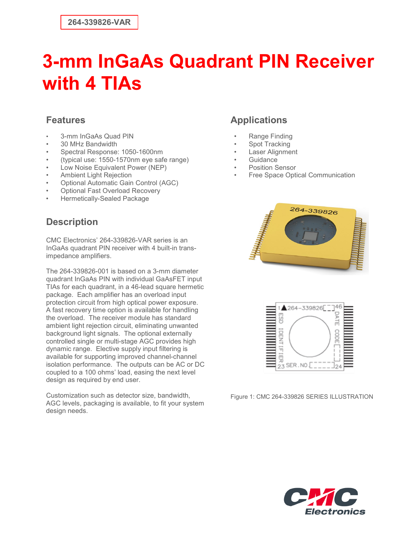#### **Features**

- 3-mm InGaAs Quad PIN
- 30 MHz Bandwidth
- Spectral Response: 1050-1600nm
- (typical use: 1550-1570nm eye safe range)
- Low Noise Equivalent Power (NEP)
- Ambient Light Rejection
- Optional Automatic Gain Control (AGC)
- Optional Fast Overload Recovery
- Hermetically-Sealed Package

### **Description**

CMC Electronics' 264-339826-VAR series is an InGaAs quadrant PIN receiver with 4 built-in transimpedance amplifiers.

The 264-339826-001 is based on a 3-mm diameter quadrant InGaAs PIN with individual GaAsFET input TIAs for each quadrant, in a 46-lead square hermetic package. Each amplifier has an overload input protection circuit from high optical power exposure. A fast recovery time option is available for handling the overload. The receiver module has standard ambient light rejection circuit, eliminating unwanted background light signals. The optional externally controlled single or multi-stage AGC provides high dynamic range. Elective supply input filtering is available for supporting improved channel-channel isolation performance. The outputs can be AC or DC coupled to a 100 ohms' load, easing the next level design as required by end user.

Customization such as detector size, bandwidth, AGC levels, packaging is available, to fit your system design needs.

### **Applications**

- Range Finding
- Spot Tracking
- Laser Alignment
- Guidance
- Position Sensor
- Free Space Optical Communication





Figure 1: CMC 264-339826 SERIES ILLUSTRATION

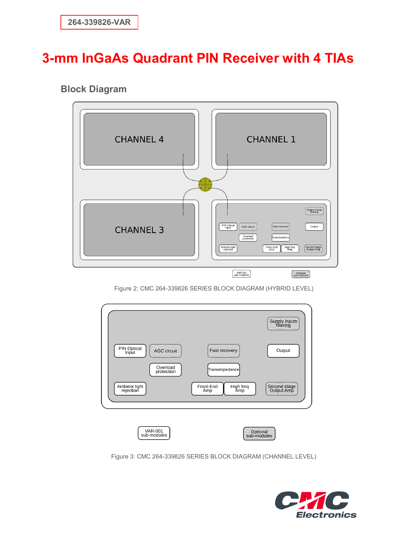### **Block Diagram**



Figure 2: CMC 264-339826 SERIES BLOCK DIAGRAM (HYBRID LEVEL)

|                                                                      |                                      | Supply inputs<br>filtering |
|----------------------------------------------------------------------|--------------------------------------|----------------------------|
| PIN Optical<br>Input<br><b>AGC circuit</b><br>Overload<br>protection | Fast recovery<br>Transimpedance      | Output                     |
| Ambient light<br>rejection                                           | Front-End<br>High freq<br>Amp<br>Amp | Second stage<br>Output Amp |



Figure 3: CMC 264-339826 SERIES BLOCK DIAGRAM (CHANNEL LEVEL)

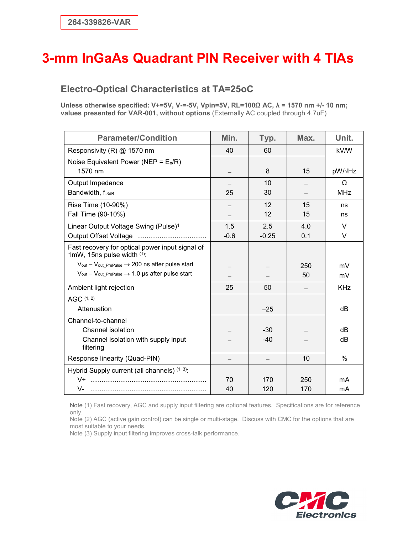#### **Electro-Optical Characteristics at TA=25oC**

**Unless otherwise specified: V+=5V, V-=-5V, Vpin=5V, RL=100Ω AC, λ = 1570 nm +/- 10 nm; values presented for VAR-001, without options** (Externally AC coupled through 4.7uF)

| <b>Parameter/Condition</b>                                                       | Min.   | Typ.    | Max. | Unit.      |
|----------------------------------------------------------------------------------|--------|---------|------|------------|
| Responsivity (R) @ 1570 nm                                                       | 40     | 60      |      | kV/W       |
| Noise Equivalent Power (NEP = $E_n/R$ )                                          |        |         |      |            |
| 1570 nm                                                                          |        | 8       | 15   | pW/√Hz     |
| Output Impedance                                                                 |        | 10      |      | $\Omega$   |
| Bandwidth, f-3dB                                                                 | 25     | 30      |      | <b>MHz</b> |
| Rise Time (10-90%)                                                               |        | 12      | 15   | ns         |
| Fall Time (90-10%)                                                               |        | 12      | 15   | ns         |
| Linear Output Voltage Swing (Pulse) <sup>1</sup>                                 | 1.5    | 2.5     | 4.0  | $\vee$     |
|                                                                                  | $-0.6$ | $-0.25$ | 0.1  | $\vee$     |
| Fast recovery for optical power input signal of<br>1mW, 15ns pulse width (1):    |        |         |      |            |
| $V_{\text{out}} - V_{\text{out\_PrePulse}} \rightarrow 200$ ns after pulse start |        |         | 250  | mV         |
| $V_{out} - V_{out\_PrePulse} \rightarrow 1.0 \,\mu s$ after pulse start          |        |         | 50   | mV         |
| Ambient light rejection                                                          | 25     | 50      |      | <b>KHz</b> |
| AGC (1, 2)                                                                       |        |         |      |            |
| Attenuation                                                                      |        | $-25$   |      | dB         |
| Channel-to-channel                                                               |        |         |      |            |
| Channel isolation                                                                |        | $-30$   |      | dB         |
| Channel isolation with supply input<br>filtering                                 |        | $-40$   |      | dB         |
| Response linearity (Quad-PIN)                                                    |        |         | 10   | %          |
| Hybrid Supply current (all channels) (1, 3):                                     |        |         |      |            |
|                                                                                  | 70     | 170     | 250  | mA         |
| V-                                                                               | 40     | 120     | 170  | mA         |

Note (1) Fast recovery, AGC and supply input filtering are optional features. Specifications are for reference only.

Note (2) AGC (active gain control) can be single or multi-stage. Discuss with CMC for the options that are most suitable to your needs.

Note (3) Supply input filtering improves cross-talk performance.

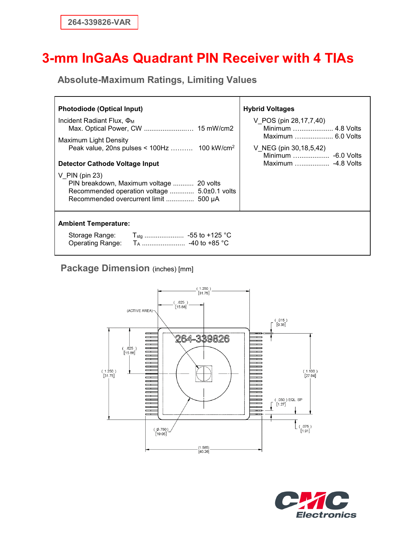**Absolute-Maximum Ratings, Limiting Values**

| Photodiode (Optical Input)                                                                                                                                                              | <b>Hybrid Voltages</b>                                                                       |  |  |
|-----------------------------------------------------------------------------------------------------------------------------------------------------------------------------------------|----------------------------------------------------------------------------------------------|--|--|
| Incident Radiant Flux, $\Phi_M$<br>Maximum Light Density<br>Peak value, 20ns pulses < $100Hz$ 100 kW/cm <sup>2</sup>                                                                    | V_POS (pin 28,17,7,40)<br>Minimum  4.8 Volts<br>Maximum  6.0 Volts<br>V_NEG (pin 30,18,5,42) |  |  |
| Detector Cathode Voltage Input<br>$V$ PIN (pin 23)<br>PIN breakdown, Maximum voltage  20 volts<br>Recommended operation voltage  5.0±0.1 volts<br>Recommended overcurrent limit  500 µA | Minimum  -6.0 Volts<br>Maximum  -4.8 Volts                                                   |  |  |
| <b>Ambient Temperature:</b>                                                                                                                                                             |                                                                                              |  |  |

#### **Package Dimension** (inches) [mm]